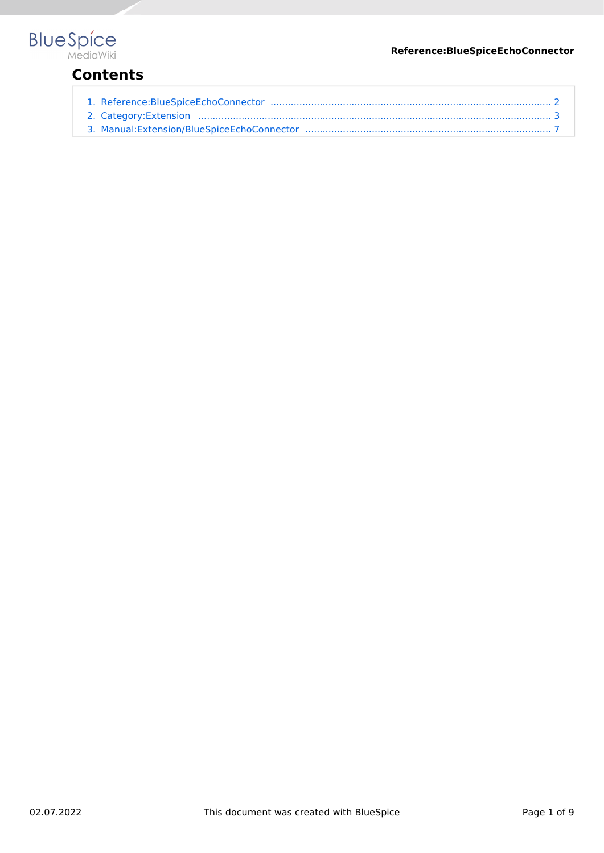#### **Reference:BlueSpiceEchoConnector**

# **BlueSpice**

## **Contents**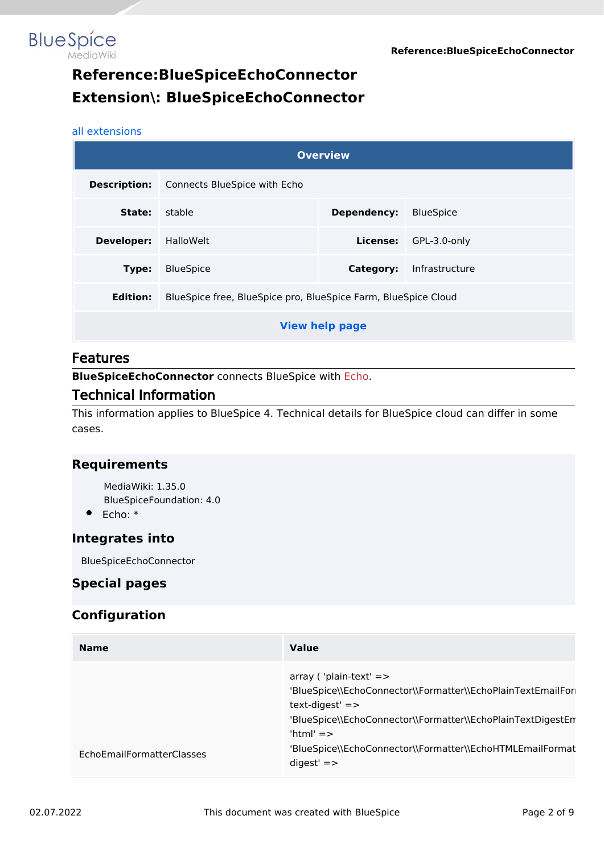<span id="page-1-0"></span>

# **Reference:BlueSpiceEchoConnector Extension\: BlueSpiceEchoConnector**

#### [all extensions](#page-2-0)

|                   |                                                                | <b>Overview</b>       |                  |
|-------------------|----------------------------------------------------------------|-----------------------|------------------|
|                   | <b>Description:</b> Connects BlueSpice with Echo               |                       |                  |
| State:            | stable                                                         | Dependency:           | <b>BlueSpice</b> |
| <b>Developer:</b> | HalloWelt                                                      | License:              | GPL-3.0-only     |
| Type:             | <b>BlueSpice</b>                                               | Category:             | Infrastructure   |
| Edition:          | BlueSpice free, BlueSpice pro, BlueSpice Farm, BlueSpice Cloud |                       |                  |
|                   |                                                                | <b>View help page</b> |                  |

#### Features

**BlueSpiceEchoConnector** connects BlueSpice with [Echo.](https://en.wiki.bluespice.com/w/index.php?title=Notifications&action=view)

#### Technical Information

This information applies to BlueSpice 4. Technical details for BlueSpice cloud can differ in some cases.

#### **Requirements**

MediaWiki: 1.35.0 BlueSpiceFoundation: 4.0

Echo: \*

#### **Integrates into**

BlueSpiceEchoConnector

#### **Special pages**

#### **Configuration**

| <b>Name</b>               | <b>Value</b>                                                                                                                                                                                                                                                              |
|---------------------------|---------------------------------------------------------------------------------------------------------------------------------------------------------------------------------------------------------------------------------------------------------------------------|
| EchoEmailFormatterClasses | $array('plain-text' = >$<br>'BlueSpice\\EchoConnector\\Formatter\\EchoPlainTextEmailFor<br>$text$ -digest' $=$<br>'BlueSpice\\EchoConnector\\Formatter\\EchoPlainTextDigestEn<br>'html' $=$ ><br>'BlueSpice\\EchoConnector\\Formatter\\EchoHTMLEmailFormat<br>$didest' =$ |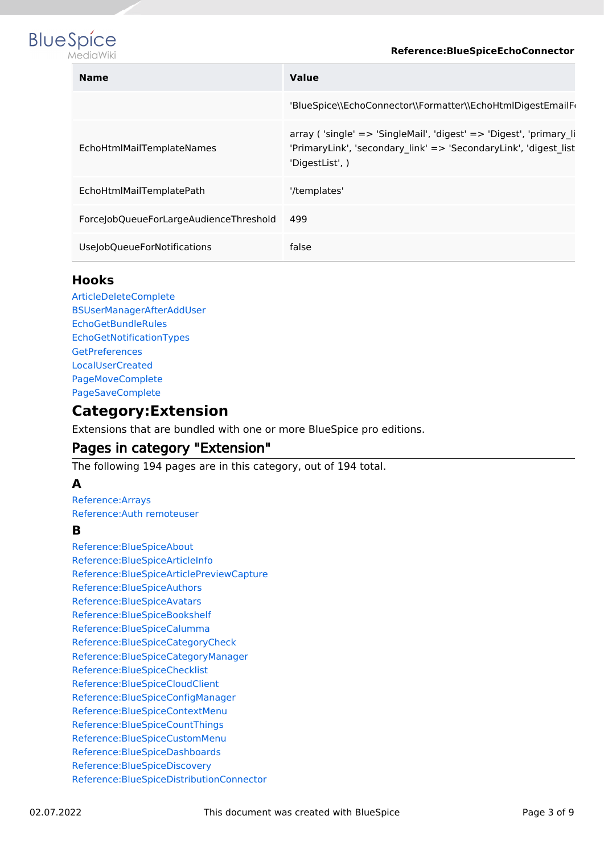



| <b>Name</b>                            | <b>Value</b>                                                                                                                                              |
|----------------------------------------|-----------------------------------------------------------------------------------------------------------------------------------------------------------|
|                                        | 'BlueSpice\\EchoConnector\\Formatter\\EchoHtmlDigestEmailFormation                                                                                        |
| EchoHtmlMailTemplateNames              | array ('single' => 'SingleMail', 'digest' => 'Digest', 'primary li<br>'PrimaryLink', 'secondary link' => 'SecondaryLink', 'digest list<br>'DigestList', ) |
| EchoHtmlMailTemplatePath               | '/templates'                                                                                                                                              |
| ForceJobQueueForLargeAudienceThreshold | 499                                                                                                                                                       |
| UseJobQueueForNotifications            | false                                                                                                                                                     |

#### **Hooks**

[ArticleDeleteComplete](https://www.mediawiki.org/wiki/Manual:Hooks/ArticleDeleteComplete) [BSUserManagerAfterAddUser](https://www.mediawiki.org/wiki/Manual:Hooks/BSUserManagerAfterAddUser) **[EchoGetBundleRules](https://www.mediawiki.org/wiki/Manual:Hooks/EchoGetBundleRules)** [EchoGetNotificationTypes](https://www.mediawiki.org/wiki/Manual:Hooks/EchoGetNotificationTypes) **[GetPreferences](https://www.mediawiki.org/wiki/Manual:Hooks/GetPreferences)** [LocalUserCreated](https://www.mediawiki.org/wiki/Manual:Hooks/LocalUserCreated) [PageMoveComplete](https://www.mediawiki.org/wiki/Manual:Hooks/PageMoveComplete) [PageSaveComplete](https://www.mediawiki.org/wiki/Manual:Hooks/PageSaveComplete)

### <span id="page-2-0"></span>**Category:Extension**

Extensions that are bundled with one or more BlueSpice pro editions.

#### Pages in category "Extension"

The following 194 pages are in this category, out of 194 total.

#### **A**

[Reference:Arrays](https://en.wiki.bluespice.com/wiki/Reference:Arrays) [Reference:Auth remoteuser](https://en.wiki.bluespice.com/wiki/Reference:Auth_remoteuser)

#### **B**

[Reference:BlueSpiceAbout](https://en.wiki.bluespice.com/wiki/Reference:BlueSpiceAbout) [Reference:BlueSpiceArticleInfo](https://en.wiki.bluespice.com/wiki/Reference:BlueSpiceArticleInfo) [Reference:BlueSpiceArticlePreviewCapture](https://en.wiki.bluespice.com/wiki/Reference:BlueSpiceArticlePreviewCapture) [Reference:BlueSpiceAuthors](https://en.wiki.bluespice.com/wiki/Reference:BlueSpiceAuthors) [Reference:BlueSpiceAvatars](https://en.wiki.bluespice.com/wiki/Reference:BlueSpiceAvatars) [Reference:BlueSpiceBookshelf](https://en.wiki.bluespice.com/wiki/Reference:BlueSpiceBookshelf) [Reference:BlueSpiceCalumma](https://en.wiki.bluespice.com/wiki/Reference:BlueSpiceCalumma) [Reference:BlueSpiceCategoryCheck](https://en.wiki.bluespice.com/wiki/Reference:BlueSpiceCategoryCheck) [Reference:BlueSpiceCategoryManager](https://en.wiki.bluespice.com/wiki/Reference:BlueSpiceCategoryManager) [Reference:BlueSpiceChecklist](https://en.wiki.bluespice.com/wiki/Reference:BlueSpiceChecklist) [Reference:BlueSpiceCloudClient](https://en.wiki.bluespice.com/wiki/Reference:BlueSpiceCloudClient) [Reference:BlueSpiceConfigManager](https://en.wiki.bluespice.com/wiki/Reference:BlueSpiceConfigManager) [Reference:BlueSpiceContextMenu](https://en.wiki.bluespice.com/wiki/Reference:BlueSpiceContextMenu) [Reference:BlueSpiceCountThings](https://en.wiki.bluespice.com/wiki/Reference:BlueSpiceCountThings) [Reference:BlueSpiceCustomMenu](https://en.wiki.bluespice.com/wiki/Reference:BlueSpiceCustomMenu) [Reference:BlueSpiceDashboards](https://en.wiki.bluespice.com/wiki/Reference:BlueSpiceDashboards) [Reference:BlueSpiceDiscovery](https://en.wiki.bluespice.com/wiki/Reference:BlueSpiceDiscovery) [Reference:BlueSpiceDistributionConnector](https://en.wiki.bluespice.com/wiki/Reference:BlueSpiceDistributionConnector)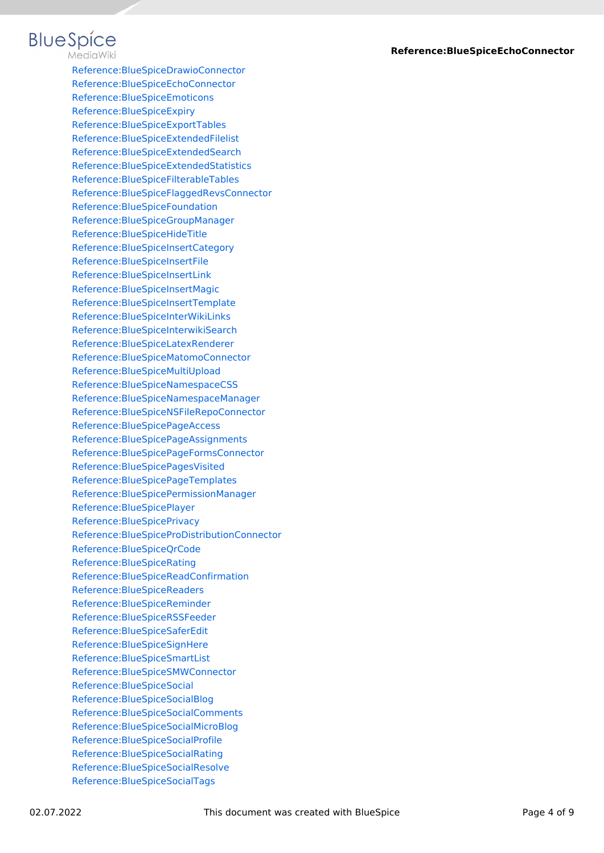#### **BlueSpice** MediaWiki

[Reference:BlueSpiceDrawioConnector](https://en.wiki.bluespice.com/wiki/Reference:BlueSpiceDrawioConnector) [Reference:BlueSpiceEchoConnector](#page-1-0) [Reference:BlueSpiceEmoticons](https://en.wiki.bluespice.com/wiki/Reference:BlueSpiceEmoticons) [Reference:BlueSpiceExpiry](https://en.wiki.bluespice.com/wiki/Reference:BlueSpiceExpiry) [Reference:BlueSpiceExportTables](https://en.wiki.bluespice.com/wiki/Reference:BlueSpiceExportTables) [Reference:BlueSpiceExtendedFilelist](https://en.wiki.bluespice.com/wiki/Reference:BlueSpiceExtendedFilelist) [Reference:BlueSpiceExtendedSearch](https://en.wiki.bluespice.com/wiki/Reference:BlueSpiceExtendedSearch) [Reference:BlueSpiceExtendedStatistics](https://en.wiki.bluespice.com/wiki/Reference:BlueSpiceExtendedStatistics) [Reference:BlueSpiceFilterableTables](https://en.wiki.bluespice.com/wiki/Reference:BlueSpiceFilterableTables) [Reference:BlueSpiceFlaggedRevsConnector](https://en.wiki.bluespice.com/wiki/Reference:BlueSpiceFlaggedRevsConnector) [Reference:BlueSpiceFoundation](https://en.wiki.bluespice.com/wiki/Reference:BlueSpiceFoundation) [Reference:BlueSpiceGroupManager](https://en.wiki.bluespice.com/wiki/Reference:BlueSpiceGroupManager) [Reference:BlueSpiceHideTitle](https://en.wiki.bluespice.com/wiki/Reference:BlueSpiceHideTitle) [Reference:BlueSpiceInsertCategory](https://en.wiki.bluespice.com/wiki/Reference:BlueSpiceInsertCategory) [Reference:BlueSpiceInsertFile](https://en.wiki.bluespice.com/wiki/Reference:BlueSpiceInsertFile) [Reference:BlueSpiceInsertLink](https://en.wiki.bluespice.com/wiki/Reference:BlueSpiceInsertLink) [Reference:BlueSpiceInsertMagic](https://en.wiki.bluespice.com/wiki/Reference:BlueSpiceInsertMagic) [Reference:BlueSpiceInsertTemplate](https://en.wiki.bluespice.com/wiki/Reference:BlueSpiceInsertTemplate) [Reference:BlueSpiceInterWikiLinks](https://en.wiki.bluespice.com/wiki/Reference:BlueSpiceInterWikiLinks) [Reference:BlueSpiceInterwikiSearch](https://en.wiki.bluespice.com/wiki/Reference:BlueSpiceInterwikiSearch) [Reference:BlueSpiceLatexRenderer](https://en.wiki.bluespice.com/wiki/Reference:BlueSpiceLatexRenderer) [Reference:BlueSpiceMatomoConnector](https://en.wiki.bluespice.com/wiki/Reference:BlueSpiceMatomoConnector) [Reference:BlueSpiceMultiUpload](https://en.wiki.bluespice.com/wiki/Reference:BlueSpiceMultiUpload) [Reference:BlueSpiceNamespaceCSS](https://en.wiki.bluespice.com/wiki/Reference:BlueSpiceNamespaceCSS) [Reference:BlueSpiceNamespaceManager](https://en.wiki.bluespice.com/wiki/Reference:BlueSpiceNamespaceManager) [Reference:BlueSpiceNSFileRepoConnector](https://en.wiki.bluespice.com/wiki/Reference:BlueSpiceNSFileRepoConnector) [Reference:BlueSpicePageAccess](https://en.wiki.bluespice.com/wiki/Reference:BlueSpicePageAccess) [Reference:BlueSpicePageAssignments](https://en.wiki.bluespice.com/wiki/Reference:BlueSpicePageAssignments) [Reference:BlueSpicePageFormsConnector](https://en.wiki.bluespice.com/wiki/Reference:BlueSpicePageFormsConnector) [Reference:BlueSpicePagesVisited](https://en.wiki.bluespice.com/wiki/Reference:BlueSpicePagesVisited) [Reference:BlueSpicePageTemplates](https://en.wiki.bluespice.com/wiki/Reference:BlueSpicePageTemplates) [Reference:BlueSpicePermissionManager](https://en.wiki.bluespice.com/wiki/Reference:BlueSpicePermissionManager) [Reference:BlueSpicePlayer](https://en.wiki.bluespice.com/wiki/Reference:BlueSpicePlayer) [Reference:BlueSpicePrivacy](https://en.wiki.bluespice.com/wiki/Reference:BlueSpicePrivacy) [Reference:BlueSpiceProDistributionConnector](https://en.wiki.bluespice.com/wiki/Reference:BlueSpiceProDistributionConnector) [Reference:BlueSpiceQrCode](https://en.wiki.bluespice.com/wiki/Reference:BlueSpiceQrCode) [Reference:BlueSpiceRating](https://en.wiki.bluespice.com/wiki/Reference:BlueSpiceRating) [Reference:BlueSpiceReadConfirmation](https://en.wiki.bluespice.com/wiki/Reference:BlueSpiceReadConfirmation) [Reference:BlueSpiceReaders](https://en.wiki.bluespice.com/wiki/Reference:BlueSpiceReaders) [Reference:BlueSpiceReminder](https://en.wiki.bluespice.com/wiki/Reference:BlueSpiceReminder) [Reference:BlueSpiceRSSFeeder](https://en.wiki.bluespice.com/wiki/Reference:BlueSpiceRSSFeeder) [Reference:BlueSpiceSaferEdit](https://en.wiki.bluespice.com/wiki/Reference:BlueSpiceSaferEdit) [Reference:BlueSpiceSignHere](https://en.wiki.bluespice.com/wiki/Reference:BlueSpiceSignHere) [Reference:BlueSpiceSmartList](https://en.wiki.bluespice.com/wiki/Reference:BlueSpiceSmartList) [Reference:BlueSpiceSMWConnector](https://en.wiki.bluespice.com/wiki/Reference:BlueSpiceSMWConnector) [Reference:BlueSpiceSocial](https://en.wiki.bluespice.com/wiki/Reference:BlueSpiceSocial) [Reference:BlueSpiceSocialBlog](https://en.wiki.bluespice.com/wiki/Reference:BlueSpiceSocialBlog) [Reference:BlueSpiceSocialComments](https://en.wiki.bluespice.com/wiki/Reference:BlueSpiceSocialComments) [Reference:BlueSpiceSocialMicroBlog](https://en.wiki.bluespice.com/wiki/Reference:BlueSpiceSocialMicroBlog) [Reference:BlueSpiceSocialProfile](https://en.wiki.bluespice.com/wiki/Reference:BlueSpiceSocialProfile) [Reference:BlueSpiceSocialRating](https://en.wiki.bluespice.com/wiki/Reference:BlueSpiceSocialRating) [Reference:BlueSpiceSocialResolve](https://en.wiki.bluespice.com/wiki/Reference:BlueSpiceSocialResolve) [Reference:BlueSpiceSocialTags](https://en.wiki.bluespice.com/wiki/Reference:BlueSpiceSocialTags)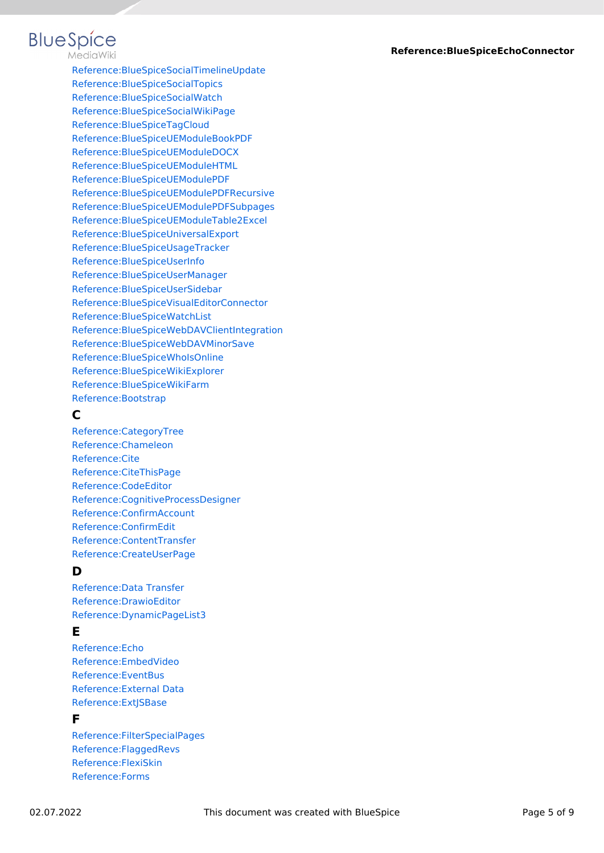# **BlueSpice**

MediaWiki

[Reference:BlueSpiceSocialTimelineUpdate](https://en.wiki.bluespice.com/wiki/Reference:BlueSpiceSocialTimelineUpdate) [Reference:BlueSpiceSocialTopics](https://en.wiki.bluespice.com/wiki/Reference:BlueSpiceSocialTopics) [Reference:BlueSpiceSocialWatch](https://en.wiki.bluespice.com/wiki/Reference:BlueSpiceSocialWatch) [Reference:BlueSpiceSocialWikiPage](https://en.wiki.bluespice.com/wiki/Reference:BlueSpiceSocialWikiPage) [Reference:BlueSpiceTagCloud](https://en.wiki.bluespice.com/wiki/Reference:BlueSpiceTagCloud) [Reference:BlueSpiceUEModuleBookPDF](https://en.wiki.bluespice.com/wiki/Reference:BlueSpiceUEModuleBookPDF) [Reference:BlueSpiceUEModuleDOCX](https://en.wiki.bluespice.com/wiki/Reference:BlueSpiceUEModuleDOCX) [Reference:BlueSpiceUEModuleHTML](https://en.wiki.bluespice.com/wiki/Reference:BlueSpiceUEModuleHTML) [Reference:BlueSpiceUEModulePDF](https://en.wiki.bluespice.com/wiki/Reference:BlueSpiceUEModulePDF) [Reference:BlueSpiceUEModulePDFRecursive](https://en.wiki.bluespice.com/wiki/Reference:BlueSpiceUEModulePDFRecursive) [Reference:BlueSpiceUEModulePDFSubpages](https://en.wiki.bluespice.com/wiki/Reference:BlueSpiceUEModulePDFSubpages) [Reference:BlueSpiceUEModuleTable2Excel](https://en.wiki.bluespice.com/wiki/Reference:BlueSpiceUEModuleTable2Excel) [Reference:BlueSpiceUniversalExport](https://en.wiki.bluespice.com/wiki/Reference:BlueSpiceUniversalExport) [Reference:BlueSpiceUsageTracker](https://en.wiki.bluespice.com/wiki/Reference:BlueSpiceUsageTracker) [Reference:BlueSpiceUserInfo](https://en.wiki.bluespice.com/wiki/Reference:BlueSpiceUserInfo) [Reference:BlueSpiceUserManager](https://en.wiki.bluespice.com/wiki/Reference:BlueSpiceUserManager) [Reference:BlueSpiceUserSidebar](https://en.wiki.bluespice.com/wiki/Reference:BlueSpiceUserSidebar) [Reference:BlueSpiceVisualEditorConnector](https://en.wiki.bluespice.com/wiki/Reference:BlueSpiceVisualEditorConnector) [Reference:BlueSpiceWatchList](https://en.wiki.bluespice.com/wiki/Reference:BlueSpiceWatchList) [Reference:BlueSpiceWebDAVClientIntegration](https://en.wiki.bluespice.com/wiki/Reference:BlueSpiceWebDAVClientIntegration) [Reference:BlueSpiceWebDAVMinorSave](https://en.wiki.bluespice.com/wiki/Reference:BlueSpiceWebDAVMinorSave) [Reference:BlueSpiceWhoIsOnline](https://en.wiki.bluespice.com/wiki/Reference:BlueSpiceWhoIsOnline) [Reference:BlueSpiceWikiExplorer](https://en.wiki.bluespice.com/wiki/Reference:BlueSpiceWikiExplorer) [Reference:BlueSpiceWikiFarm](https://en.wiki.bluespice.com/wiki/Reference:BlueSpiceWikiFarm) [Reference:Bootstrap](https://en.wiki.bluespice.com/wiki/Reference:Bootstrap)

#### **C**

[Reference:CategoryTree](https://en.wiki.bluespice.com/wiki/Reference:CategoryTree) [Reference:Chameleon](https://en.wiki.bluespice.com/wiki/Reference:Chameleon) [Reference:Cite](https://en.wiki.bluespice.com/wiki/Reference:Cite) [Reference:CiteThisPage](https://en.wiki.bluespice.com/wiki/Reference:CiteThisPage) [Reference:CodeEditor](https://en.wiki.bluespice.com/wiki/Reference:CodeEditor) [Reference:CognitiveProcessDesigner](https://en.wiki.bluespice.com/wiki/Reference:CognitiveProcessDesigner) [Reference:ConfirmAccount](https://en.wiki.bluespice.com/wiki/Reference:ConfirmAccount) [Reference:ConfirmEdit](https://en.wiki.bluespice.com/wiki/Reference:ConfirmEdit) [Reference:ContentTransfer](https://en.wiki.bluespice.com/wiki/Reference:ContentTransfer) [Reference:CreateUserPage](https://en.wiki.bluespice.com/wiki/Reference:CreateUserPage)

#### **D**

[Reference:Data Transfer](https://en.wiki.bluespice.com/wiki/Reference:Data_Transfer) [Reference:DrawioEditor](https://en.wiki.bluespice.com/wiki/Reference:DrawioEditor) [Reference:DynamicPageList3](https://en.wiki.bluespice.com/wiki/Reference:DynamicPageList3)

#### **E**

[Reference:Echo](https://en.wiki.bluespice.com/wiki/Reference:Echo) [Reference:EmbedVideo](https://en.wiki.bluespice.com/wiki/Reference:EmbedVideo) [Reference:EventBus](https://en.wiki.bluespice.com/wiki/Reference:EventBus) [Reference:External Data](https://en.wiki.bluespice.com/wiki/Reference:External_Data) [Reference:ExtJSBase](https://en.wiki.bluespice.com/wiki/Reference:ExtJSBase)

#### **F**

[Reference:FilterSpecialPages](https://en.wiki.bluespice.com/wiki/Reference:FilterSpecialPages) [Reference:FlaggedRevs](https://en.wiki.bluespice.com/wiki/Reference:FlaggedRevs) [Reference:FlexiSkin](https://en.wiki.bluespice.com/wiki/Reference:FlexiSkin) [Reference:Forms](https://en.wiki.bluespice.com/wiki/Reference:Forms)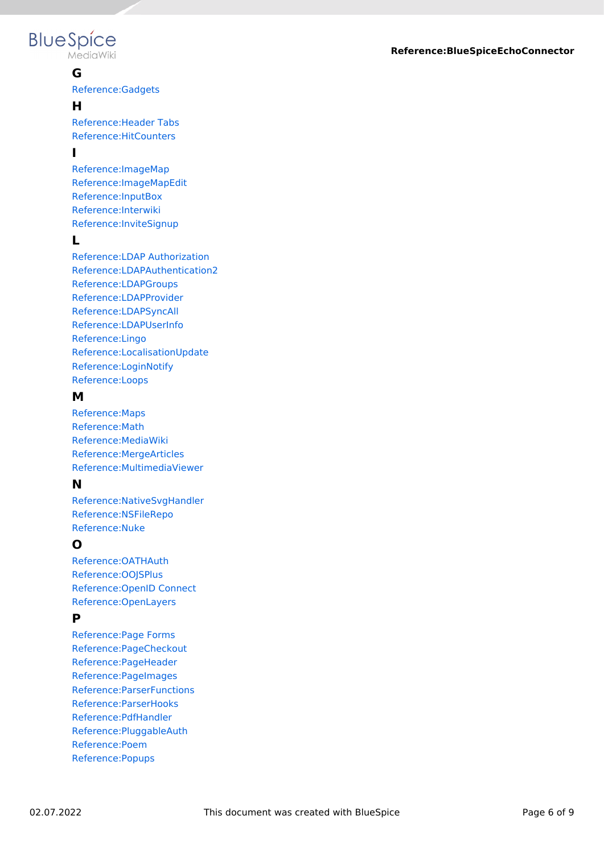# **BlueSpice**

MediaWiki

#### **G**

[Reference:Gadgets](https://en.wiki.bluespice.com/wiki/Reference:Gadgets)

#### **H**

[Reference:Header Tabs](https://en.wiki.bluespice.com/wiki/Reference:Header_Tabs) [Reference:HitCounters](https://en.wiki.bluespice.com/wiki/Reference:HitCounters)

#### **I**

[Reference:ImageMap](https://en.wiki.bluespice.com/wiki/Reference:ImageMap) [Reference:ImageMapEdit](https://en.wiki.bluespice.com/wiki/Reference:ImageMapEdit) [Reference:InputBox](https://en.wiki.bluespice.com/wiki/Reference:InputBox) [Reference:Interwiki](https://en.wiki.bluespice.com/wiki/Reference:Interwiki) [Reference:InviteSignup](https://en.wiki.bluespice.com/wiki/Reference:InviteSignup)

#### **L**

[Reference:LDAP Authorization](https://en.wiki.bluespice.com/wiki/Reference:LDAP_Authorization) [Reference:LDAPAuthentication2](https://en.wiki.bluespice.com/wiki/Reference:LDAPAuthentication2) [Reference:LDAPGroups](https://en.wiki.bluespice.com/wiki/Reference:LDAPGroups) [Reference:LDAPProvider](https://en.wiki.bluespice.com/wiki/Reference:LDAPProvider) [Reference:LDAPSyncAll](https://en.wiki.bluespice.com/wiki/Reference:LDAPSyncAll) [Reference:LDAPUserInfo](https://en.wiki.bluespice.com/wiki/Reference:LDAPUserInfo) [Reference:Lingo](https://en.wiki.bluespice.com/wiki/Reference:Lingo) [Reference:LocalisationUpdate](https://en.wiki.bluespice.com/wiki/Reference:LocalisationUpdate) [Reference:LoginNotify](https://en.wiki.bluespice.com/wiki/Reference:LoginNotify) [Reference:Loops](https://en.wiki.bluespice.com/wiki/Reference:Loops)

#### **M**

[Reference:Maps](https://en.wiki.bluespice.com/wiki/Reference:Maps) [Reference:Math](https://en.wiki.bluespice.com/wiki/Reference:Math) [Reference:MediaWiki](https://en.wiki.bluespice.com/wiki/Reference:MediaWiki) [Reference:MergeArticles](https://en.wiki.bluespice.com/wiki/Reference:MergeArticles) [Reference:MultimediaViewer](https://en.wiki.bluespice.com/wiki/Reference:MultimediaViewer)

#### **N**

[Reference:NativeSvgHandler](https://en.wiki.bluespice.com/wiki/Reference:NativeSvgHandler) [Reference:NSFileRepo](https://en.wiki.bluespice.com/wiki/Reference:NSFileRepo) [Reference:Nuke](https://en.wiki.bluespice.com/wiki/Reference:Nuke)

### **O**

[Reference:OATHAuth](https://en.wiki.bluespice.com/wiki/Reference:OATHAuth) [Reference:OOJSPlus](https://en.wiki.bluespice.com/wiki/Reference:OOJSPlus) [Reference:OpenID Connect](https://en.wiki.bluespice.com/wiki/Reference:OpenID_Connect) [Reference:OpenLayers](https://en.wiki.bluespice.com/wiki/Reference:OpenLayers)

#### **P**

[Reference:Page Forms](https://en.wiki.bluespice.com/wiki/Reference:Page_Forms) [Reference:PageCheckout](https://en.wiki.bluespice.com/wiki/Reference:PageCheckout) [Reference:PageHeader](https://en.wiki.bluespice.com/wiki/Reference:PageHeader) [Reference:PageImages](https://en.wiki.bluespice.com/wiki/Reference:PageImages) [Reference:ParserFunctions](https://en.wiki.bluespice.com/wiki/Reference:ParserFunctions) [Reference:ParserHooks](https://en.wiki.bluespice.com/wiki/Reference:ParserHooks) [Reference:PdfHandler](https://en.wiki.bluespice.com/wiki/Reference:PdfHandler) [Reference:PluggableAuth](https://en.wiki.bluespice.com/wiki/Reference:PluggableAuth) [Reference:Poem](https://en.wiki.bluespice.com/wiki/Reference:Poem) [Reference:Popups](https://en.wiki.bluespice.com/wiki/Reference:Popups)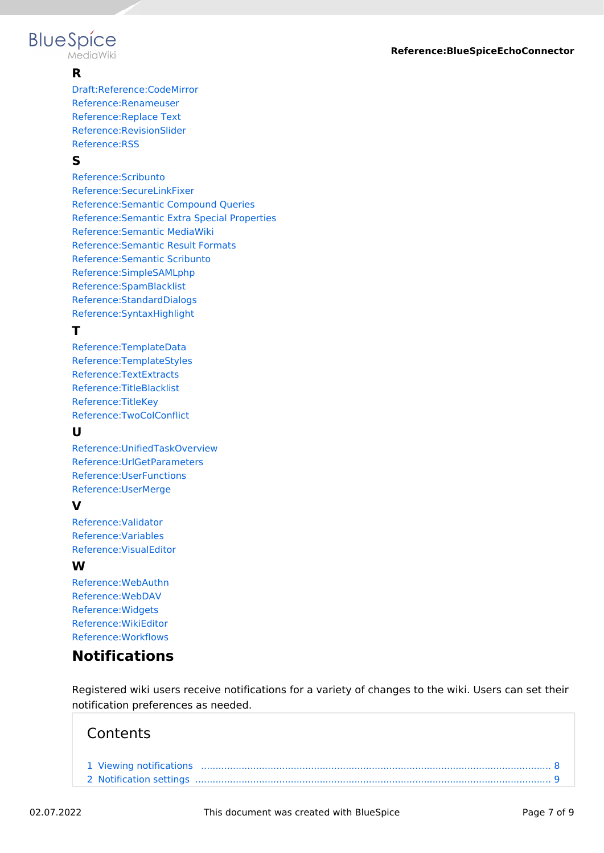#### **Reference:BlueSpiceEchoConnector**

# **BlueSpice**

MediaWiki

#### **R**

[Draft:Reference:CodeMirror](https://en.wiki.bluespice.com/wiki/Draft:Reference:CodeMirror) [Reference:Renameuser](https://en.wiki.bluespice.com/wiki/Reference:Renameuser) [Reference:Replace Text](https://en.wiki.bluespice.com/wiki/Reference:Replace_Text) [Reference:RevisionSlider](https://en.wiki.bluespice.com/wiki/Reference:RevisionSlider) [Reference:RSS](https://en.wiki.bluespice.com/wiki/Reference:RSS)

#### **S**

[Reference:Scribunto](https://en.wiki.bluespice.com/wiki/Reference:Scribunto) [Reference:SecureLinkFixer](https://en.wiki.bluespice.com/wiki/Reference:SecureLinkFixer) [Reference:Semantic Compound Queries](https://en.wiki.bluespice.com/wiki/Reference:Semantic_Compound_Queries) [Reference:Semantic Extra Special Properties](https://en.wiki.bluespice.com/wiki/Reference:Semantic_Extra_Special_Properties) [Reference:Semantic MediaWiki](https://en.wiki.bluespice.com/wiki/Reference:Semantic_MediaWiki) [Reference:Semantic Result Formats](https://en.wiki.bluespice.com/wiki/Reference:Semantic_Result_Formats) [Reference:Semantic Scribunto](https://en.wiki.bluespice.com/wiki/Reference:Semantic_Scribunto) [Reference:SimpleSAMLphp](https://en.wiki.bluespice.com/wiki/Reference:SimpleSAMLphp) [Reference:SpamBlacklist](https://en.wiki.bluespice.com/wiki/Reference:SpamBlacklist) [Reference:StandardDialogs](https://en.wiki.bluespice.com/wiki/Reference:StandardDialogs) [Reference:SyntaxHighlight](https://en.wiki.bluespice.com/wiki/Reference:SyntaxHighlight)

#### **T**

[Reference:TemplateData](https://en.wiki.bluespice.com/wiki/Reference:TemplateData) [Reference:TemplateStyles](https://en.wiki.bluespice.com/wiki/Reference:TemplateStyles) [Reference:TextExtracts](https://en.wiki.bluespice.com/wiki/Reference:TextExtracts) [Reference:TitleBlacklist](https://en.wiki.bluespice.com/wiki/Reference:TitleBlacklist) [Reference:TitleKey](https://en.wiki.bluespice.com/wiki/Reference:TitleKey) [Reference:TwoColConflict](https://en.wiki.bluespice.com/wiki/Reference:TwoColConflict)

#### **U**

[Reference:UnifiedTaskOverview](https://en.wiki.bluespice.com/wiki/Reference:UnifiedTaskOverview) [Reference:UrlGetParameters](https://en.wiki.bluespice.com/wiki/Reference:UrlGetParameters) [Reference:UserFunctions](https://en.wiki.bluespice.com/wiki/Reference:UserFunctions) [Reference:UserMerge](https://en.wiki.bluespice.com/wiki/Reference:UserMerge)

#### **V**

[Reference:Validator](https://en.wiki.bluespice.com/wiki/Reference:Validator) [Reference:Variables](https://en.wiki.bluespice.com/wiki/Reference:Variables) [Reference:VisualEditor](https://en.wiki.bluespice.com/wiki/Reference:VisualEditor)

#### **W**

[Reference:WebAuthn](https://en.wiki.bluespice.com/wiki/Reference:WebAuthn) [Reference:WebDAV](https://en.wiki.bluespice.com/wiki/Reference:WebDAV) [Reference:Widgets](https://en.wiki.bluespice.com/wiki/Reference:Widgets) [Reference:WikiEditor](https://en.wiki.bluespice.com/wiki/Reference:WikiEditor) [Reference:Workflows](https://en.wiki.bluespice.com/wiki/Reference:Workflows)

### <span id="page-6-0"></span>**Notifications**

Registered wiki users receive notifications for a variety of changes to the wiki. Users can set their notification preferences as needed.

### **Contents**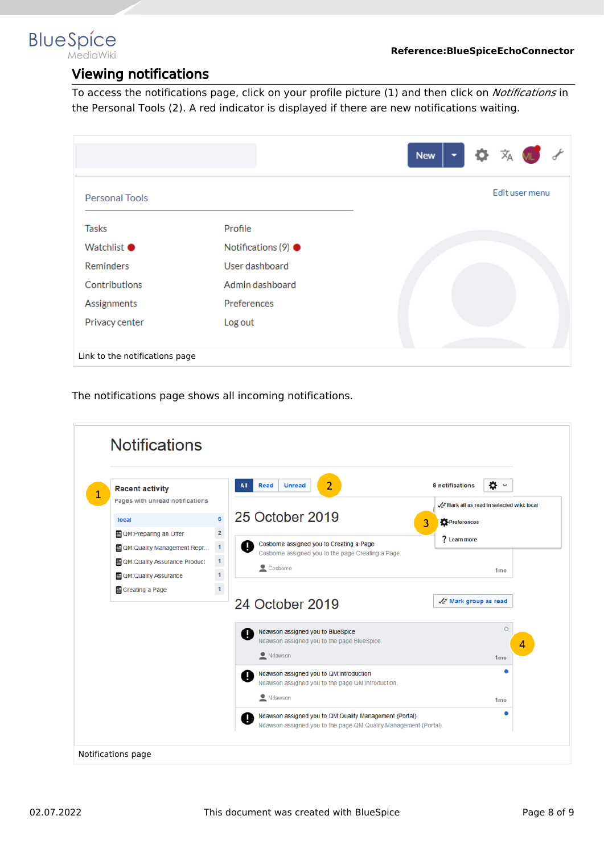<span id="page-7-0"></span>**BlueSpice MediaWiki** 

#### Viewing notifications

To access the notifications page, click on your profile picture (1) and then click on *Notifications* in the Personal Tools (2). A red indicator is displayed if there are new notifications waiting.

|                                |                             | 文<br><b>New</b><br>▼ |
|--------------------------------|-----------------------------|----------------------|
| <b>Personal Tools</b>          |                             | Edit user menu       |
| Tasks                          | Profile                     |                      |
| <b>Watchlist ●</b>             | Notifications (9) $\bullet$ |                      |
| Reminders                      | User dashboard              |                      |
| Contributions                  | Admin dashboard             |                      |
| Assignments                    | Preferences                 |                      |
| Privacy center                 | Log out                     |                      |
|                                |                             |                      |
| Link to the notifications page |                             |                      |

The notifications page shows all incoming notifications.

| <b>Recent activity</b>          |                                            | $\overline{2}$<br><b>Unread</b><br>Read<br>All                                                      | 9 notifications<br>• •                     |
|---------------------------------|--------------------------------------------|-----------------------------------------------------------------------------------------------------|--------------------------------------------|
| Pages with unread notifications |                                            |                                                                                                     | A Mark all as read in selected wiki: local |
| local                           | 6                                          | 25 October 2019                                                                                     | Preferences<br>3                           |
| 图 QM:Preparing an Offer         | $\overline{\mathbf{c}}$                    |                                                                                                     | ? Learn more                               |
| QM:Quality Management Repr      | $\begin{array}{c} 1 \\ 1 \\ 1 \end{array}$ | Cosborne assigned you to Creating a Page<br>A<br>Cosborne assigned you to the page Creating a Page. |                                            |
| 图 QM:Quality Assurance Product  |                                            | Cosborne                                                                                            | 1 <sub>mo</sub>                            |
| <b>E</b> QM: Quality Assurance  |                                            |                                                                                                     |                                            |
| 图 Creating a Page               |                                            |                                                                                                     | $\sqrt{\cdot}$ Mark group as read          |
|                                 |                                            | 24 October 2019                                                                                     |                                            |
|                                 |                                            | Ndawson assigned you to BlueSpice<br>ц                                                              | $\circ$                                    |
|                                 |                                            |                                                                                                     |                                            |
|                                 |                                            | Ndawson assigned you to the page BlueSpice.                                                         |                                            |
|                                 |                                            | Ndawson                                                                                             | 4<br>1 <sub>mo</sub>                       |
|                                 |                                            | Ndawson assigned you to QM:Introduction                                                             |                                            |
|                                 |                                            | ц<br>Ndawson assigned you to the page QM:Introduction.                                              |                                            |
|                                 |                                            | Ndawson                                                                                             | 1 <sub>mo</sub>                            |